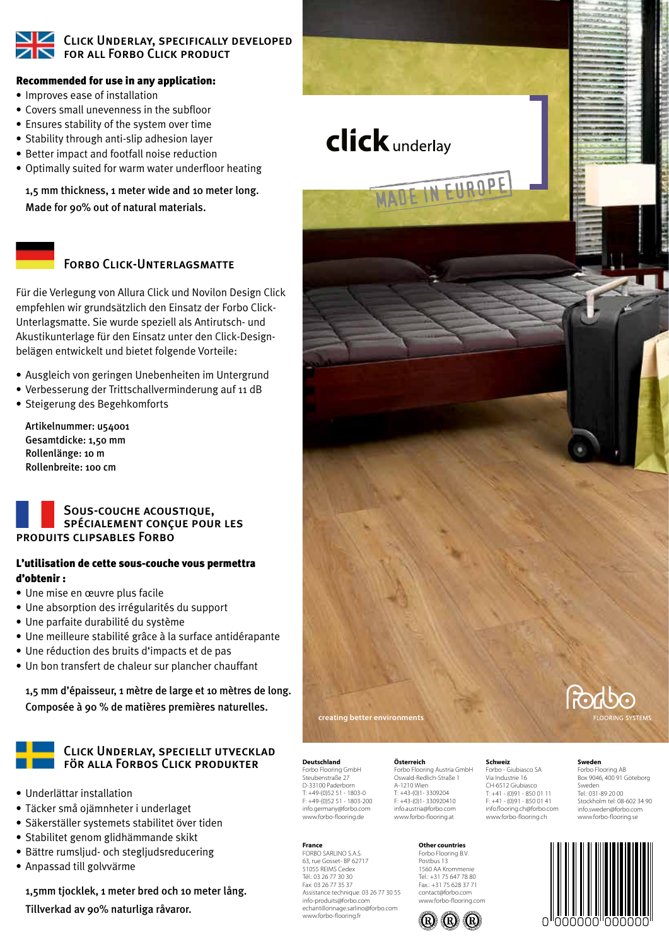# Click Underlay, specifically developed for all Forbo Click product

# Recommended for use in any application:

- Improves ease of installation
- Covers small unevenness in the subfloor
- Ensures stability of the system over time
- Stability through anti-slip adhesion layer
- Better impact and footfall noise reduction
- • Optimally suited for warm water underfloor heating

 1,5 mm thickness, 1 meter wide and 10 meter long. Made for 90% out of natural materials.

# FORBO CLICK-UNTERLAGSMATTE

Für die Verlegung von Allura Click und Novilon Design Click empfehlen wir grundsätzlich den Einsatz der Forbo Click-Unterlagsmatte. Sie wurde speziell als Antirutsch- und Akustikunterlage für den Einsatz unter den Click-Designbelägen entwickelt und bietet folgende Vorteile:

- Ausgleich von geringen Unebenheiten im Untergrund
- Verbesserung der Trittschallverminderung auf 11 dB
- • Steigerung des Begehkomforts

 Artikelnummer: u54001 Gesamtdicke: 1,50 mm Rollenlänge: 10 m Rollenbreite: 100 cm

# Sous-couche acoustique, spécialement conçue pour les produits clipsables Forbo

# L'utilisation de cette sous-couche vous permettra d'obtenir :

- • Une mise en œuvre plus facile
- • Une absorption des irrégularités du support
- • Une parfaite durabilité du système
- • Une meilleure stabilité grâce à la surface antidérapante
- • Une réduction des bruits d'impacts et de pas
- Un bon transfert de chaleur sur plancher chauffant

 1,5 mm d'épaisseur, 1 mètre de large et 10 mètres de long. Composée à 90 % de matières premières naturelles.

# Click Underlay, speciellt utvecklad för alla Forbos Click produkter

- • Underlättar installation
- • Täcker små ojämnheter i underlaget
- • Säkerställer systemets stabilitet över tiden
- Stabilitet genom glidhämmande skikt
- Bättre rumsljud- och stegljudsreducering
- • Anpassad till golvvärme

 1,5mm tjocklek, 1 meter bred och 10 meter lång. Tillverkad av 90% naturliga råvaror.

**click** underlay EUROPE

**creating better environments**

**Deutschland** Forbo Flooring GmbH Steubenstraße 27 D-33100 Paderborn T: +49-(0)52 51 - 1803-0 F: +49-(0)52 51 - 1803-200 info.germany@forbo.com www.forbo-flooring.de

Assistance technique: 03 26 77 30 55 info-produits@forbo.com echantillonnage.sarlino@forbo.com www.forbo-flooring.fr

**France** FORBO SARLINO S.A.S. 63, rue Gosset- BP 62717 51055 REIMS Cedex Tél.: 03 26 77 30 30 Fax: 03 26 77 35 37

## **Österreich**

Forbo Flooring Austria GmbH Oswald-Redlich-Straße 1 A-1210 Wien T: +43-(0)1- 3309204 F: +43-(0)1- 330920410 info.austria@forbo.com www.forbo-flooring.at

# **Other countries**

Forbo Flooring B.V. Postbus 13 1560 AA Krommenie Tel.: +31 75 647 78 80 Fax.: +31 75 628 37 71 contact@forbo.com www.forbo-flooring.com



## **Sweden**

**Schweiz** Forbo - Giubiasco SA Via Industrie 16 CH-6512 Giubiasco T: +41 - (0)91 - 850 01 11  $F: +41 - (0)91 - 8500141$ info.flooring.ch@forbo.com www.forbo-flooring.ch

Forbo Flooring AB Box 9046, 400 91 Göteborg Sweden Tel.: 031-89 20 00 Stockholm tel: 08-602 34 90 info.sweden@forbo.com www.forbo-flooring.se